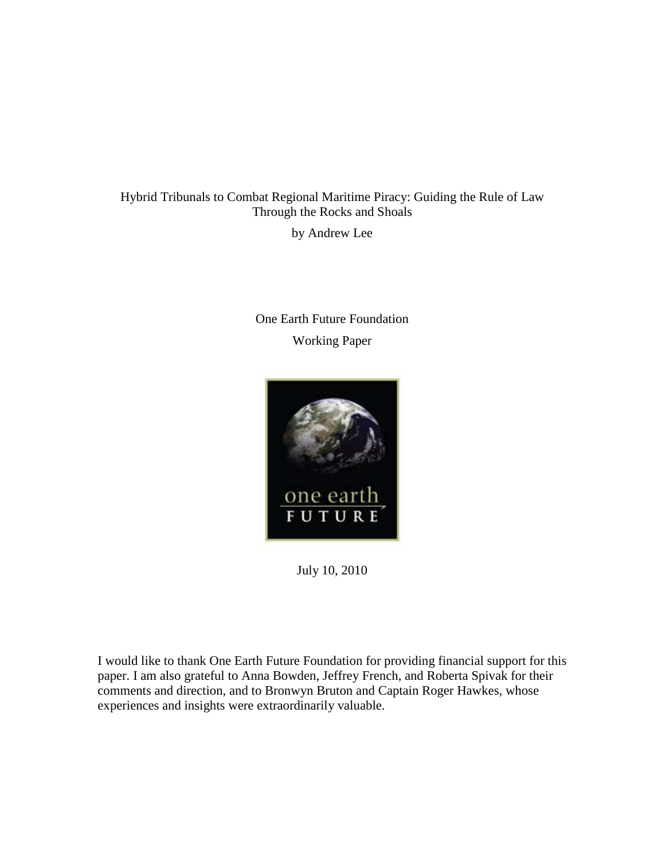# Hybrid Tribunals to Combat Regional Maritime Piracy: Guiding the Rule of Law Through the Rocks and Shoals

by Andrew Lee

# One Earth Future Foundation Working Paper



July 10, 2010

<span id="page-0-0"></span>I would like to thank One Earth Future Foundation for providing financial support for this paper. I am also grateful to Anna Bowden, Jeffrey French, and Roberta Spivak for their comments and direction, and to Bronwyn Bruton and Captain Roger Hawkes, whose experiences and insights were extraordinarily valuable.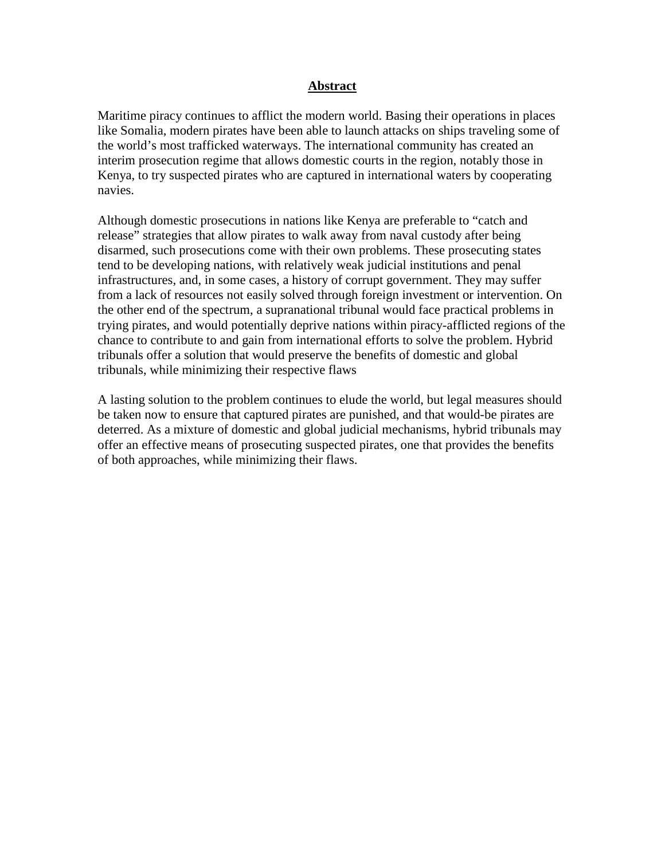### **Abstract**

Maritime piracy continues to afflict the modern world. Basing their operations in places like Somalia, modern pirates have been able to launch attacks on ships traveling some of the world's most trafficked waterways. The international community has created an interim prosecution regime that allows domestic courts in the region, notably those in Kenya, to try suspected pirates who are captured in international waters by cooperating navies.

Although domestic prosecutions in nations like Kenya are preferable to "catch and release" strategies that allow pirates to walk away from naval custody after being disarmed, such prosecutions come with their own problems. These prosecuting states tend to be developing nations, with relatively weak judicial institutions and penal infrastructures, and, in some cases, a history of corrupt government. They may suffer from a lack of resources not easily solved through foreign investment or intervention. On the other end of the spectrum, a supranational tribunal would face practical problems in trying pirates, and would potentially deprive nations within piracy-afflicted regions of the chance to contribute to and gain from international efforts to solve the problem. Hybrid tribunals offer a solution that would preserve the benefits of domestic and global tribunals, while minimizing their respective flaws

A lasting solution to the problem continues to elude the world, but legal measures should be taken now to ensure that captured pirates are punished, and that would-be pirates are deterred. As a mixture of domestic and global judicial mechanisms, hybrid tribunals may offer an effective means of prosecuting suspected pirates, one that provides the benefits of both approaches, while minimizing their flaws.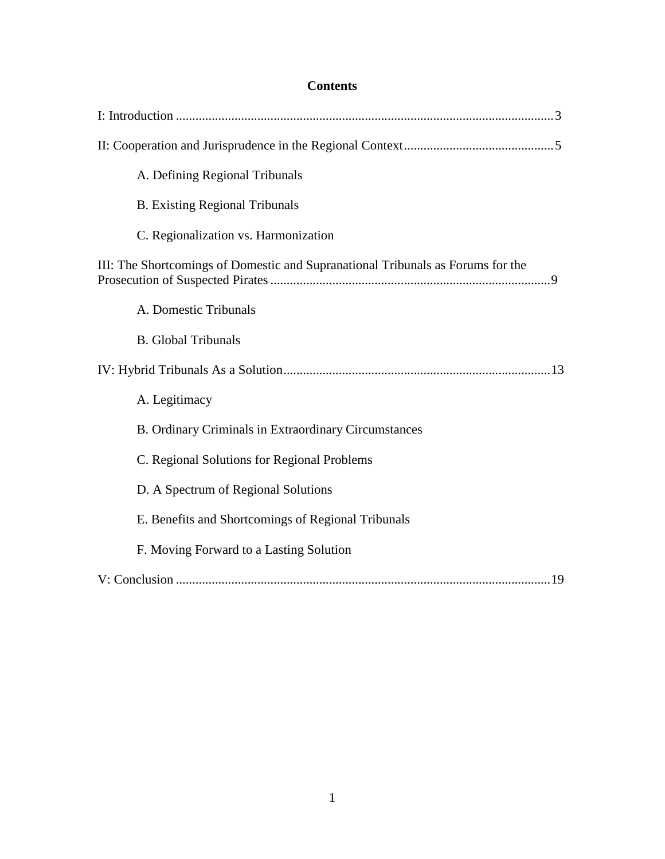## **Contents**

| A. Defining Regional Tribunals                                                  |
|---------------------------------------------------------------------------------|
| <b>B.</b> Existing Regional Tribunals                                           |
| C. Regionalization vs. Harmonization                                            |
| III: The Shortcomings of Domestic and Supranational Tribunals as Forums for the |
| A. Domestic Tribunals                                                           |
| <b>B.</b> Global Tribunals                                                      |
|                                                                                 |
| A. Legitimacy                                                                   |
| B. Ordinary Criminals in Extraordinary Circumstances                            |
| C. Regional Solutions for Regional Problems                                     |
| D. A Spectrum of Regional Solutions                                             |
| E. Benefits and Shortcomings of Regional Tribunals                              |
| F. Moving Forward to a Lasting Solution                                         |
|                                                                                 |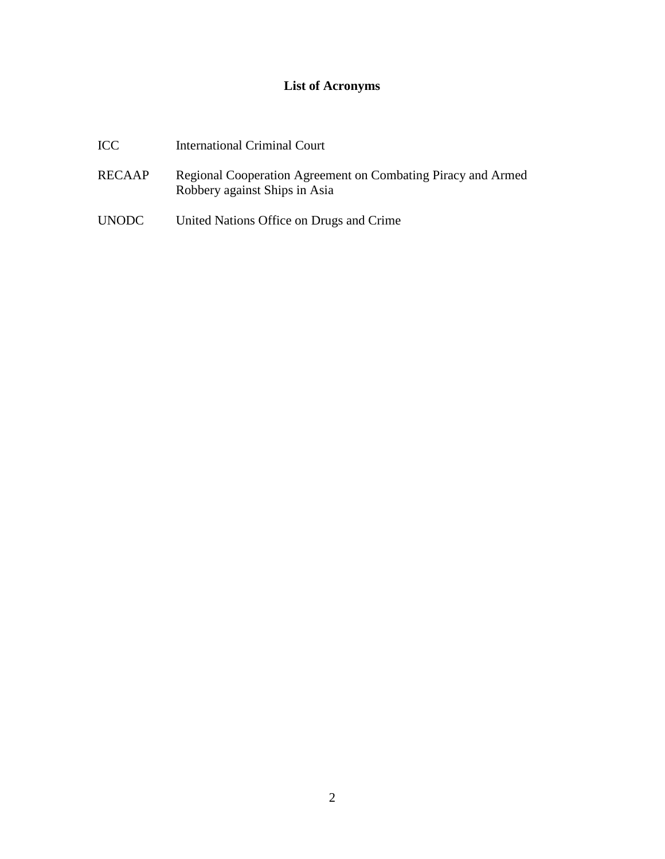## **List of Acronyms**

- ICC International Criminal Court
- RECAAP Regional Cooperation Agreement on Combating Piracy and Armed Robbery against Ships in Asia
- UNODC United Nations Office on Drugs and Crime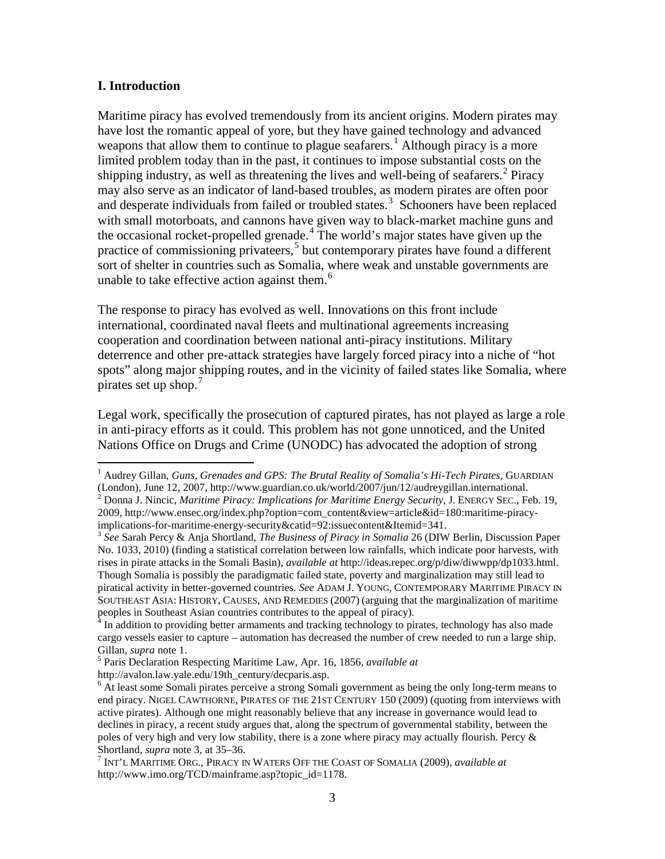#### **I. Introduction**

Maritime piracy has evolved tremendously from its ancient origins. Modern pirates may have lost the romantic appeal of yore, but they have gained technology and advanced weapons that allow them to continue to plague seafarers.<sup>[1](#page-0-0)</sup> Although piracy is a more limited problem today than in the past, it continues to impose substantial costs on the shipping industry, as well as threatening the lives and well-being of seafarers.<sup>[2](#page-4-0)</sup> Piracy may also serve as an indicator of land-based troubles, as modern pirates are often poor and desperate individuals from failed or troubled states.<sup>[3](#page-4-1)</sup> Schooners have been replaced with small motorboats, and cannons have given way to black-market machine guns and the occasional rocket-propelled grenade.<sup>[4](#page-4-2)</sup> The world's major states have given up the practice of commissioning privateers,<sup>[5](#page-4-3)</sup> but contemporary pirates have found a different sort of shelter in countries such as Somalia, where weak and unstable governments are unable to take effective action against them.<sup>[6](#page-4-4)</sup>

The response to piracy has evolved as well. Innovations on this front include international, coordinated naval fleets and multinational agreements increasing cooperation and coordination between national anti-piracy institutions. Military deterrence and other pre-attack strategies have largely forced piracy into a niche of "hot spots" along major shipping routes, and in the vicinity of failed states like Somalia, where pirates set up shop. $\frac{7}{7}$  $\frac{7}{7}$  $\frac{7}{7}$ 

Legal work, specifically the prosecution of captured pirates, has not played as large a role in anti-piracy efforts as it could. This problem has not gone unnoticed, and the United Nations Office on Drugs and Crime (UNODC) has advocated the adoption of strong

<span id="page-4-6"></span><sup>&</sup>lt;sup>1</sup> Audrey Gillan, *Guns, Grenades and GPS: The Brutal Reality of Somalia's Hi-Tech Pirates*, GUARDIAN (London), June 12, 2007, http://www.guardian.co.uk/world/2007/jun/12/audreygillan.international.  $^{2}$  Donna J. Nincic, *Maritime Piracy: Implications for Maritime Energy Security*, J. ENERGY SEC., Feb. 19, 2009, http://www.ensec.org/index.php?option=com\_content&view=article&id=180:maritime-piracy-

<span id="page-4-1"></span><span id="page-4-0"></span>implications-for-maritime-energy-security&catid=92:issuecontent&Itemid=341. <sup>3</sup> *See* Sarah Percy & Anja Shortland, *The Business of Piracy in Somalia* 26 (DIW Berlin, Discussion Paper No. 1033, 2010) (finding a statistical correlation between low rainfalls, which indicate poor harvests, with rises in pirate attacks in the Somali Basin), *available at* http://ideas.repec.org/p/diw/diwwpp/dp1033.html. Though Somalia is possibly the paradigmatic failed state, poverty and marginalization may still lead to piratical activity in better-governed countries. *See* ADAM J. YOUNG, CONTEMPORARY MARITIME PIRACY IN SOUTHEAST ASIA: HISTORY, CAUSES, AND REMEDIES (2007) (arguing that the marginalization of maritime peoples in Southeast Asian countries contributes to the appeal of piracy).

<span id="page-4-2"></span><sup>&</sup>lt;sup>4</sup> In addition to providing better armaments and tracking technology to pirates, technology has also made cargo vessels easier to capture – automation has decreased the number of crew needed to run a large ship. Gillan, *supra* note 1.<br><sup>5</sup> Paris Declaration Respecting Maritime Law, Apr. 16, 1856, *available at* 

<span id="page-4-4"></span><span id="page-4-3"></span>http://avalon.law.yale.edu/19th\_century/decparis.asp.<br><sup>6</sup> At least some Somali pirates perceive a strong Somali government as being the only long-term means to end piracy. NIGEL CAWTHORNE, PIRATES OF THE 21ST CENTURY 150 (2009) (quoting from interviews with active pirates). Although one might reasonably believe that any increase in governance would lead to declines in piracy, a recent study argues that, along the spectrum of governmental stability, between the poles of very high and very low stability, there is a zone where piracy may actually flourish. Percy &

<span id="page-4-5"></span>Shortland, *supra* note 3, at 35–36. WATERS OFF THE COAST OF SOMALIA (2009), *available at* <sup>7</sup> INT'L MARITIME ORG., PIRACY IN WATERS OFF THE COAST OF SOMALIA (2009), *available at* http://www.imo.org/TCD/mainframe.asp?topic\_id=1178.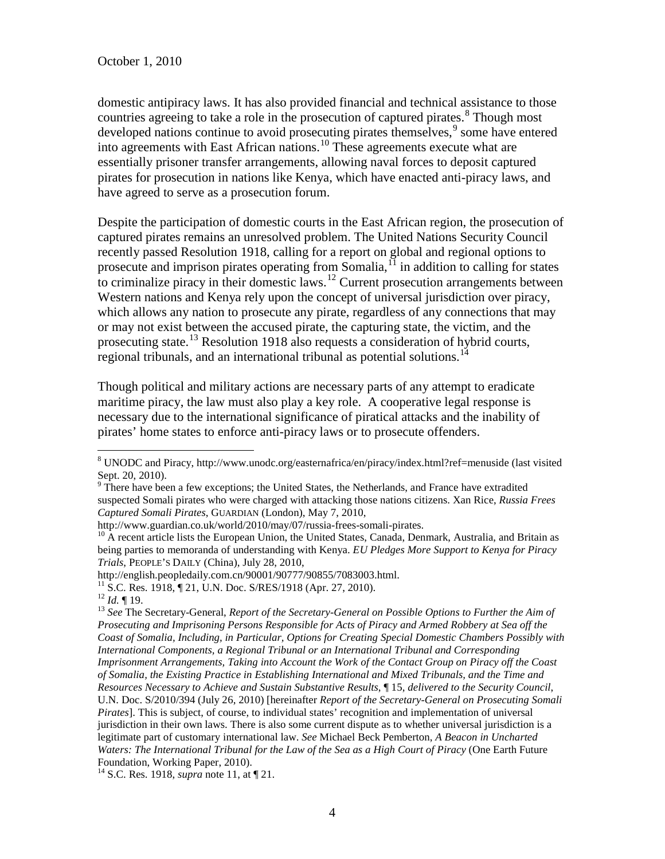domestic antipiracy laws. It has also provided financial and technical assistance to those countries agreeing to take a role in the prosecution of captured pirates.<sup>[8](#page-4-6)</sup> Though most developed nations continue to avoid prosecuting pirates themselves, [9](#page-5-0) some have entered into agreements with East African nations.<sup>[10](#page-5-1)</sup> These agreements execute what are essentially prisoner transfer arrangements, allowing naval forces to deposit captured pirates for prosecution in nations like Kenya, which have enacted anti-piracy laws, and have agreed to serve as a prosecution forum.

Despite the participation of domestic courts in the East African region, the prosecution of captured pirates remains an unresolved problem. The United Nations Security Council recently passed Resolution 1918, calling for a report on global and regional options to prosecute and imprison pirates operating from Somalia,<sup>[11](#page-5-2)</sup> in addition to calling for states to criminalize piracy in their domestic laws.<sup>[12](#page-5-3)</sup> Current prosecution arrangements between Western nations and Kenya rely upon the concept of universal jurisdiction over piracy, which allows any nation to prosecute any pirate, regardless of any connections that may or may not exist between the accused pirate, the capturing state, the victim, and the prosecuting state.[13](#page-5-4) Resolution 1918 also requests a consideration of hybrid courts, regional tribunals, and an international tribunal as potential solutions.<sup>[14](#page-5-5)</sup>

Though political and military actions are necessary parts of any attempt to eradicate maritime piracy, the law must also play a key role. A cooperative legal response is necessary due to the international significance of piratical attacks and the inability of pirates' home states to enforce anti-piracy laws or to prosecute offenders.

http://english.peopledaily.com.cn/90001/90777/90855/7083003.html.<br><sup>11</sup> S.C. Res. 1918, ¶ 21, U.N. Doc. S/RES/1918 (Apr. 27, 2010).

<span id="page-5-6"></span><span id="page-5-5"></span><sup>14</sup> S.C. Res. 1918, *supra* note 11, at ¶ 21.

 <sup>8</sup> UNODC and Piracy, http://www.unodc.org/easternafrica/en/piracy/index.html?ref=menuside (last visited Sept. 20, 2010).

<span id="page-5-0"></span> $9$  There have been a few exceptions; the United States, the Netherlands, and France have extradited suspected Somali pirates who were charged with attacking those nations citizens. Xan Rice, *Russia Frees Captured Somali Pirates*, GUARDIAN (London), May 7, 2010,

<span id="page-5-1"></span> $heta$ <sup>10</sup> A recent article lists the European Union, the United States, Canada, Denmark, Australia, and Britain as being parties to memoranda of understanding with Kenya. *EU Pledges More Support to Kenya for Piracy Trials*, PEOPLE'S DAILY (China), July 28, 2010,

<span id="page-5-4"></span><span id="page-5-3"></span><span id="page-5-2"></span><sup>12</sup> *Id.* ¶ 19.<br><sup>12</sup> *Id.* ¶ 19.<br><sup>13</sup> *See* The Secretary-General, *Report of the Secretary-General on Possible Options to Further the Aim of Prosecuting and Imprisoning Persons Responsible for Acts of Piracy and Armed Robbery at Sea off the Coast of Somalia, Including, in Particular, Options for Creating Special Domestic Chambers Possibly with International Components, a Regional Tribunal or an International Tribunal and Corresponding Imprisonment Arrangements, Taking into Account the Work of the Contact Group on Piracy off the Coast of Somalia, the Existing Practice in Establishing International and Mixed Tribunals, and the Time and Resources Necessary to Achieve and Sustain Substantive Results*, ¶ 15, *delivered to the Security Council*, U.N. Doc. S/2010/394 (July 26, 2010) [hereinafter *Report of the Secretary-General on Prosecuting Somali Pirates*]. This is subject, of course, to individual states' recognition and implementation of universal jurisdiction in their own laws. There is also some current dispute as to whether universal jurisdiction is a legitimate part of customary international law. *See* Michael Beck Pemberton, *A Beacon in Uncharted Waters: The International Tribunal for the Law of the Sea as a High Court of Piracy* (One Earth Future Foundation, Working Paper, 2010).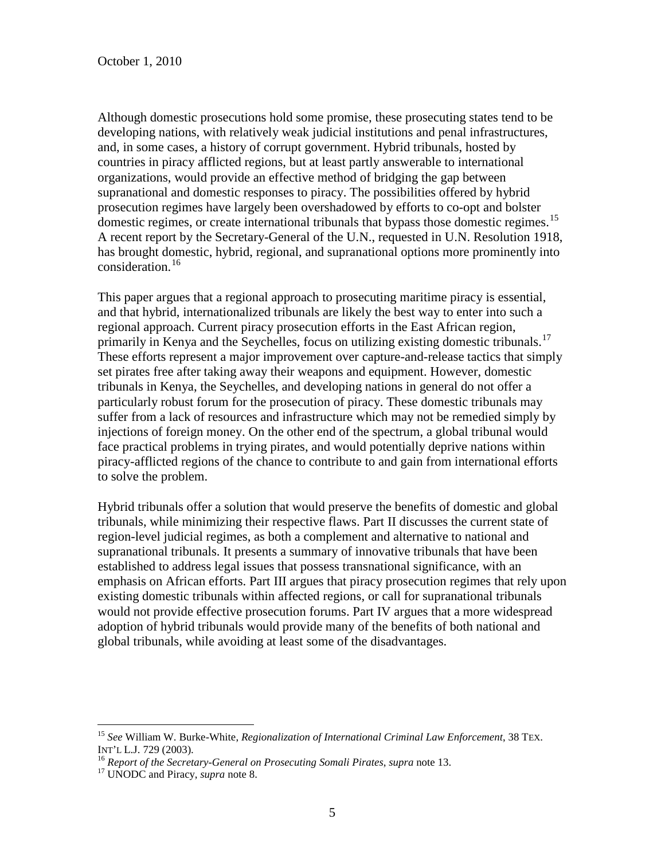Although domestic prosecutions hold some promise, these prosecuting states tend to be developing nations, with relatively weak judicial institutions and penal infrastructures, and, in some cases, a history of corrupt government. Hybrid tribunals, hosted by countries in piracy afflicted regions, but at least partly answerable to international organizations, would provide an effective method of bridging the gap between supranational and domestic responses to piracy. The possibilities offered by hybrid prosecution regimes have largely been overshadowed by efforts to co-opt and bolster domestic regimes, or create international tribunals that bypass those domestic regimes.<sup>[15](#page-5-6)</sup> A recent report by the Secretary-General of the U.N., requested in U.N. Resolution 1918, has brought domestic, hybrid, regional, and supranational options more prominently into consideration.[16](#page-6-0)

This paper argues that a regional approach to prosecuting maritime piracy is essential, and that hybrid, internationalized tribunals are likely the best way to enter into such a regional approach. Current piracy prosecution efforts in the East African region, primarily in Kenya and the Seychelles, focus on utilizing existing domestic tribunals.<sup>[17](#page-6-1)</sup> These efforts represent a major improvement over capture-and-release tactics that simply set pirates free after taking away their weapons and equipment. However, domestic tribunals in Kenya, the Seychelles, and developing nations in general do not offer a particularly robust forum for the prosecution of piracy. These domestic tribunals may suffer from a lack of resources and infrastructure which may not be remedied simply by injections of foreign money. On the other end of the spectrum, a global tribunal would face practical problems in trying pirates, and would potentially deprive nations within piracy-afflicted regions of the chance to contribute to and gain from international efforts to solve the problem.

<span id="page-6-2"></span>Hybrid tribunals offer a solution that would preserve the benefits of domestic and global tribunals, while minimizing their respective flaws. Part II discusses the current state of region-level judicial regimes, as both a complement and alternative to national and supranational tribunals. It presents a summary of innovative tribunals that have been established to address legal issues that possess transnational significance, with an emphasis on African efforts. Part III argues that piracy prosecution regimes that rely upon existing domestic tribunals within affected regions, or call for supranational tribunals would not provide effective prosecution forums. Part IV argues that a more widespread adoption of hybrid tribunals would provide many of the benefits of both national and global tribunals, while avoiding at least some of the disadvantages.

<sup>&</sup>lt;sup>15</sup> *See* William W. Burke-White, *Regionalization of International Criminal Law Enforcement*, 38 TEX. INT'L L.J. 729 (2003).

<span id="page-6-1"></span><span id="page-6-0"></span><sup>&</sup>lt;sup>16</sup> *Report of the Secretary-General on Prosecuting Somali Pirates, supra* note 13. <sup>17</sup> UNODC and Piracy, *supra* note 8.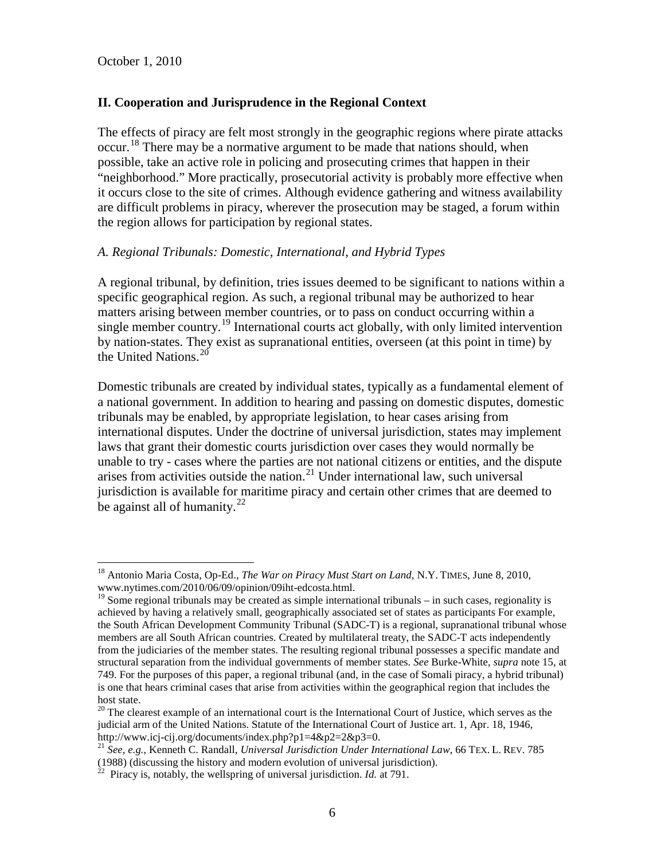#### **II. Cooperation and Jurisprudence in the Regional Context**

The effects of piracy are felt most strongly in the geographic regions where pirate attacks occur.<sup>[18](#page-6-2)</sup> There may be a normative argument to be made that nations should, when possible, take an active role in policing and prosecuting crimes that happen in their "neighborhood." More practically, prosecutorial activity is probably more effective when it occurs close to the site of crimes. Although evidence gathering and witness availability are difficult problems in piracy, wherever the prosecution may be staged, a forum within the region allows for participation by regional states.

#### *A. Regional Tribunals: Domestic, International, and Hybrid Types*

A regional tribunal, by definition, tries issues deemed to be significant to nations within a specific geographical region. As such, a regional tribunal may be authorized to hear matters arising between member countries, or to pass on conduct occurring within a single member country.<sup>[19](#page-7-0)</sup> International courts act globally, with only limited intervention by nation-states. They exist as supranational entities, overseen (at this point in time) by the United Nations.<sup>[20](#page-7-1)</sup>

Domestic tribunals are created by individual states, typically as a fundamental element of a national government. In addition to hearing and passing on domestic disputes, domestic tribunals may be enabled, by appropriate legislation, to hear cases arising from international disputes. Under the doctrine of universal jurisdiction, states may implement laws that grant their domestic courts jurisdiction over cases they would normally be unable to try - cases where the parties are not national citizens or entities, and the dispute arises from activities outside the nation. $^{21}$  $^{21}$  $^{21}$  Under international law, such universal jurisdiction is available for maritime piracy and certain other crimes that are deemed to be against all of humanity.<sup>[22](#page-7-3)</sup>

<sup>&</sup>lt;sup>18</sup> Antonio Maria Costa, Op-Ed., *The War on Piracy Must Start on Land*, N.Y. TIMES, June 8, 2010, www.nytimes.com/2010/06/09/opinion/09iht-edcosta.html.

<span id="page-7-0"></span><sup>&</sup>lt;sup>19</sup> Some regional tribunals may be created as simple international tribunals – in such cases, regionality is achieved by having a relatively small, geographically associated set of states as participants For example, the South African Development Community Tribunal (SADC-T) is a regional, supranational tribunal whose members are all South African countries. Created by multilateral treaty, the SADC-T acts independently from the judiciaries of the member states. The resulting regional tribunal possesses a specific mandate and structural separation from the individual governments of member states. *See* Burke-White, *supra* note 15, at 749. For the purposes of this paper, a regional tribunal (and, in the case of Somali piracy, a hybrid tribunal) is one that hears criminal cases that arise from activities within the geographical region that includes the host state.

<span id="page-7-4"></span><span id="page-7-1"></span> $20$  The clearest example of an international court is the International Court of Justice, which serves as the judicial arm of the United Nations. Statute of the International Court of Justice art. 1, Apr. 18, 1946, http://www.icj-cij.org/documents/index.php?p1=4&p2=2&p3=0. <sup>21</sup> *See, e.g.*, Kenneth C. Randall, *Universal Jurisdiction Under International Law*, 66 TEX. L. REV. <sup>785</sup>

<span id="page-7-2"></span><sup>(1988) (</sup>discussing the history and modern evolution of universal jurisdiction).

<span id="page-7-3"></span> $^{22}$  Piracy is, notably, the wellspring of universal jurisdiction. *Id.* at 791.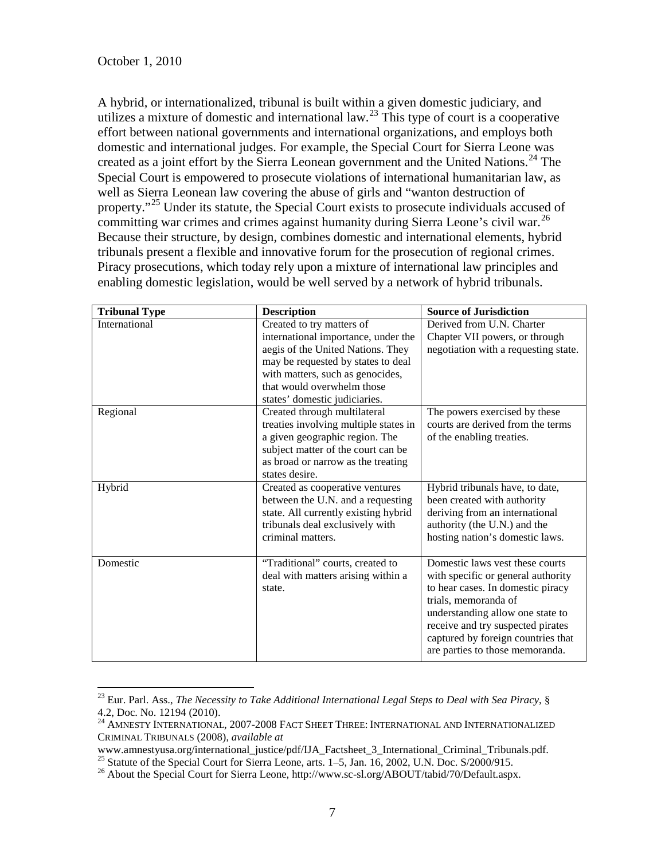A hybrid, or internationalized, tribunal is built within a given domestic judiciary, and utilizes a mixture of domestic and international law.<sup>[23](#page-7-4)</sup> This type of court is a cooperative effort between national governments and international organizations, and employs both domestic and international judges. For example, the Special Court for Sierra Leone was created as a joint effort by the Sierra Leonean government and the United Nations.<sup>[24](#page-8-0)</sup> The Special Court is empowered to prosecute violations of international humanitarian law, as well as Sierra Leonean law covering the abuse of girls and "wanton destruction of property."[25](#page-8-1) Under its statute, the Special Court exists to prosecute individuals accused of committing war crimes and crimes against humanity during Sierra Leone's civil war.<sup>[26](#page-8-2)</sup> Because their structure, by design, combines domestic and international elements, hybrid tribunals present a flexible and innovative forum for the prosecution of regional crimes. Piracy prosecutions, which today rely upon a mixture of international law principles and enabling domestic legislation, would be well served by a network of hybrid tribunals.

| <b>Tribunal Type</b> | <b>Description</b>                                   | <b>Source of Jurisdiction</b>        |
|----------------------|------------------------------------------------------|--------------------------------------|
| International        | Created to try matters of                            | Derived from U.N. Charter            |
|                      | international importance, under the                  | Chapter VII powers, or through       |
|                      | aegis of the United Nations. They                    | negotiation with a requesting state. |
|                      | may be requested by states to deal                   |                                      |
|                      | with matters, such as genocides,                     |                                      |
|                      | that would overwhelm those                           |                                      |
|                      | states' domestic judiciaries.                        |                                      |
| Regional             | Created through multilateral                         | The powers exercised by these        |
|                      | treaties involving multiple states in                | courts are derived from the terms    |
|                      | a given geographic region. The                       | of the enabling treaties.            |
|                      | subject matter of the court can be                   |                                      |
|                      | as broad or narrow as the treating                   |                                      |
|                      | states desire.                                       |                                      |
| Hybrid               | Created as cooperative ventures                      | Hybrid tribunals have, to date,      |
|                      | between the U.N. and a requesting                    | been created with authority          |
|                      | state. All currently existing hybrid                 | deriving from an international       |
|                      | tribunals deal exclusively with<br>criminal matters. | authority (the U.N.) and the         |
|                      |                                                      | hosting nation's domestic laws.      |
| Domestic             | "Traditional" courts, created to                     | Domestic laws yest these courts      |
|                      | deal with matters arising within a                   | with specific or general authority   |
|                      | state.                                               | to hear cases. In domestic piracy    |
|                      |                                                      | trials, memoranda of                 |
|                      |                                                      | understanding allow one state to     |
|                      |                                                      | receive and try suspected pirates    |
|                      |                                                      | captured by foreign countries that   |
|                      |                                                      | are parties to those memoranda.      |

<span id="page-8-3"></span><sup>&</sup>lt;sup>23</sup> Eur. Parl. Ass., *The Necessity to Take Additional International Legal Steps to Deal with Sea Piracy*, §<br>4.2, Doc. No. 12194 (2010).

<span id="page-8-0"></span> $^{24}$  AMNESTY INTERNATIONAL, 2007-2008 FACT SHEET THREE: INTERNATIONAL AND INTERNATIONALIZED CRIMINAL TRIBUNALS (2008), *available at*

<span id="page-8-2"></span><span id="page-8-1"></span><sup>&</sup>lt;sup>25</sup> Statute of the Special Court for Sierra Leone, arts. 1–5, Jan. 16, 2002, U.N. Doc. S/2000/915.<br><sup>26</sup> About the Special Court for Sierra Leone, http://www.sc-sl.org/ABOUT/tabid/70/Default.aspx.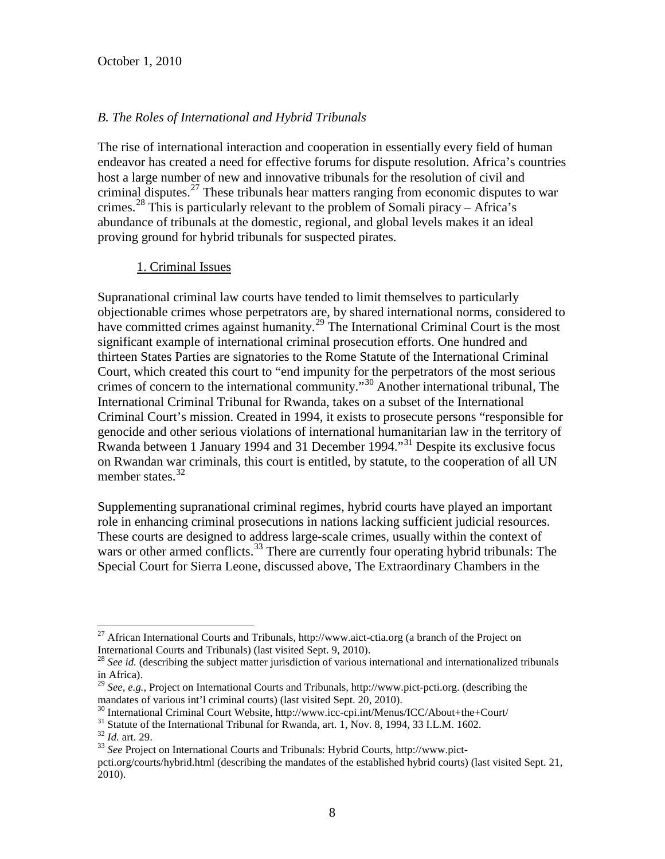### *B. The Roles of International and Hybrid Tribunals*

The rise of international interaction and cooperation in essentially every field of human endeavor has created a need for effective forums for dispute resolution. Africa's countries host a large number of new and innovative tribunals for the resolution of civil and criminal disputes.<sup>[27](#page-8-3)</sup> These tribunals hear matters ranging from economic disputes to war crimes.<sup>[28](#page-9-0)</sup> This is particularly relevant to the problem of Somali piracy – Africa's abundance of tribunals at the domestic, regional, and global levels makes it an ideal proving ground for hybrid tribunals for suspected pirates.

#### 1. Criminal Issues

Supranational criminal law courts have tended to limit themselves to particularly objectionable crimes whose perpetrators are, by shared international norms, considered to have committed crimes against humanity.<sup>[29](#page-9-1)</sup> The International Criminal Court is the most significant example of international criminal prosecution efforts. One hundred and thirteen States Parties are signatories to the Rome Statute of the International Criminal Court, which created this court to "end impunity for the perpetrators of the most serious crimes of concern to the international community."[30](#page-9-2) Another international tribunal, The International Criminal Tribunal for Rwanda, takes on a subset of the International Criminal Court's mission. Created in 1994, it exists to prosecute persons "responsible for genocide and other serious violations of international humanitarian law in the territory of Rwanda between 1 January 1994 and [31](#page-9-3) December 1994."<sup>31</sup> Despite its exclusive focus on Rwandan war criminals, this court is entitled, by statute, to the cooperation of all UN member states. $32$ 

<span id="page-9-6"></span>Supplementing supranational criminal regimes, hybrid courts have played an important role in enhancing criminal prosecutions in nations lacking sufficient judicial resources. These courts are designed to address large-scale crimes, usually within the context of wars or other armed conflicts.<sup>[33](#page-9-5)</sup> There are currently four operating hybrid tribunals: The Special Court for Sierra Leone, discussed above, The Extraordinary Chambers in the

<sup>&</sup>lt;sup>27</sup> African International Courts and Tribunals, http://www.aict-ctia.org (a branch of the Project on International Courts and Tribunals) (last visited Sept. 9, 2010).

<span id="page-9-0"></span><sup>&</sup>lt;sup>28</sup> See id. (describing the subject matter jurisdiction of various international and internationalized tribunals in Africa).

<span id="page-9-1"></span><sup>&</sup>lt;sup>29</sup> *See, e.g.*, Project on International Courts and Tribunals, http://www.pict-pcti.org. (describing the mandates of various int'l criminal courts) (last visited Sept. 20, 2010).

<span id="page-9-2"></span><sup>&</sup>lt;sup>30</sup> International Criminal Court Website, http://www.icc-cpi.int/Menus/ICC/About+the+Court/<br><sup>31</sup> Statute of the International Tribunal for Rwanda, art. 1, Nov. 8, 1994, 33 I.L.M. 1602.<br><sup>32</sup> Id. art. 29.<br><sup>33</sup> See Project

<span id="page-9-4"></span><span id="page-9-3"></span>

<span id="page-9-5"></span>pcti.org/courts/hybrid.html (describing the mandates of the established hybrid courts) (last visited Sept. 21, 2010).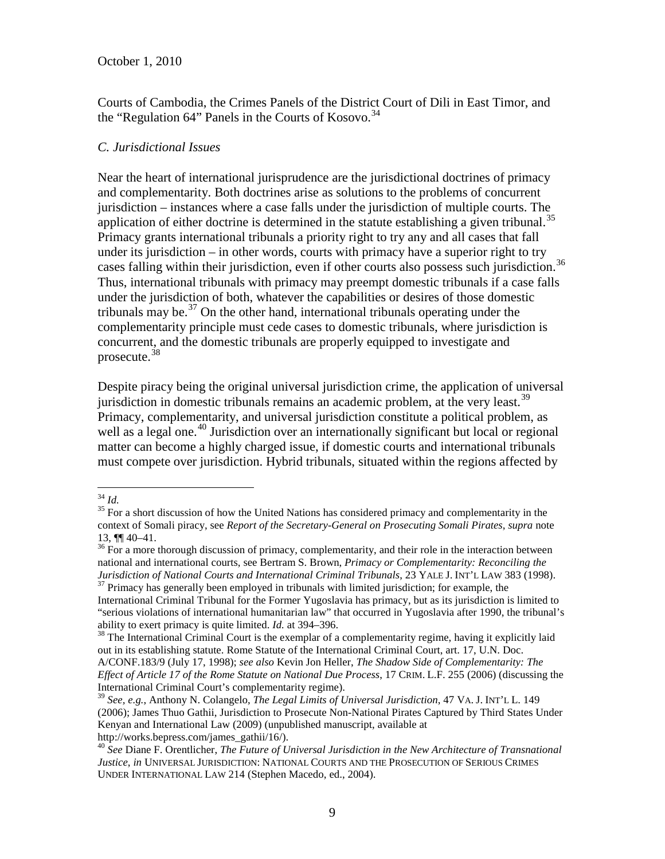Courts of Cambodia, the Crimes Panels of the District Court of Dili in East Timor, and the "Regulation  $64$ " Panels in the Courts of Kosovo.<sup>[34](#page-9-6)</sup>

#### *C. Jurisdictional Issues*

Near the heart of international jurisprudence are the jurisdictional doctrines of primacy and complementarity. Both doctrines arise as solutions to the problems of concurrent jurisdiction – instances where a case falls under the jurisdiction of multiple courts. The application of either doctrine is determined in the statute establishing a given tribunal.<sup>[35](#page-10-0)</sup> Primacy grants international tribunals a priority right to try any and all cases that fall under its jurisdiction – in other words, courts with primacy have a superior right to try cases falling within their jurisdiction, even if other courts also possess such jurisdiction.<sup>[36](#page-10-1)</sup> Thus, international tribunals with primacy may preempt domestic tribunals if a case falls under the jurisdiction of both, whatever the capabilities or desires of those domestic tribunals may be.<sup>[37](#page-10-2)</sup> On the other hand, international tribunals operating under the complementarity principle must cede cases to domestic tribunals, where jurisdiction is concurrent, and the domestic tribunals are properly equipped to investigate and prosecute.[38](#page-10-3)

Despite piracy being the original universal jurisdiction crime, the application of universal jurisdiction in domestic tribunals remains an academic problem, at the very least.<sup>[39](#page-10-4)</sup> Primacy, complementarity, and universal jurisdiction constitute a political problem, as well as a legal one.<sup>[40](#page-10-5)</sup> Jurisdiction over an internationally significant but local or regional matter can become a highly charged issue, if domestic courts and international tribunals must compete over jurisdiction. Hybrid tribunals, situated within the regions affected by

<span id="page-10-0"></span><sup>&</sup>lt;sup>34</sup> *Id.* 35 For a short discussion of how the United Nations has considered primacy and complementarity in the context of Somali piracy, see *Report of the Secretary-General on Prosecuting Somali Pirates*, *supra* note 13,  $\P$  40–41.<br><sup>36</sup> For a more thorough discussion of primacy, complementarity, and their role in the interaction between

<span id="page-10-1"></span>national and international courts, see Bertram S. Brown, *Primacy or Complementarity: Reconciling the*  <sup>37</sup> Primacy has generally been employed in tribunals with limited jurisdiction; for example, the

<span id="page-10-6"></span><span id="page-10-2"></span>International Criminal Tribunal for the Former Yugoslavia has primacy, but as its jurisdiction is limited to "serious violations of international humanitarian law" that occurred in Yugoslavia after 1990, the tribunal's ability to exert primacy is quite limited.  $Id$ . at 394–396.

<span id="page-10-3"></span><sup>&</sup>lt;sup>38</sup> The International Criminal Court is the exemplar of a complementarity regime, having it explicitly laid out in its establishing statute. Rome Statute of the International Criminal Court, art. 17, U.N. Doc.

A/CONF.183/9 (July 17, 1998); *see also* Kevin Jon Heller, *The Shadow Side of Complementarity: The Effect of Article 17 of the Rome Statute on National Due Process*, 17 CRIM. L.F. 255 (2006) (discussing the International Criminal Court's complementarity regime).

<span id="page-10-4"></span><sup>39</sup> *See, e.g.*, Anthony N. Colangelo, *The Legal Limits of Universal Jurisdiction*, 47 VA. J. INT'L L. 149 (2006); James Thuo Gathii, Jurisdiction to Prosecute Non-National Pirates Captured by Third States Under Kenyan and International Law (2009) (unpublished manuscript, available at

<span id="page-10-5"></span>http://works.bepress.com/james\_gathii/16/). <sup>40</sup> *See* Diane F. Orentlicher, *The Future of Universal Jurisdiction in the New Architecture of Transnational Justice*, *in* UNIVERSAL JURISDICTION: NATIONAL COURTS AND THE PROSECUTION OF SERIOUS CRIMES UNDER INTERNATIONAL LAW 214 (Stephen Macedo, ed., 2004).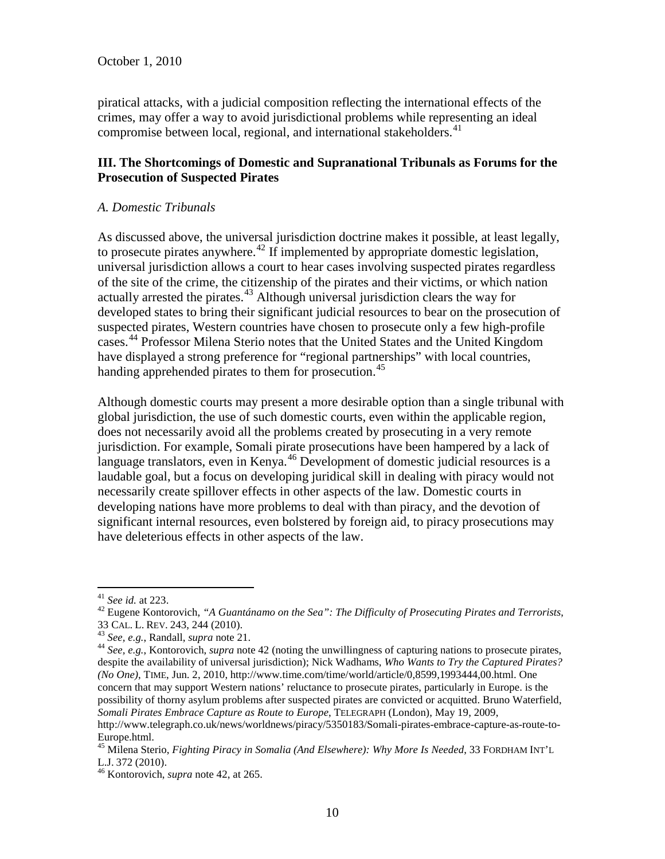piratical attacks, with a judicial composition reflecting the international effects of the crimes, may offer a way to avoid jurisdictional problems while representing an ideal compromise between local, regional, and international stakeholders.<sup>[41](#page-10-6)</sup>

## **III. The Shortcomings of Domestic and Supranational Tribunals as Forums for the Prosecution of Suspected Pirates**

#### *A. Domestic Tribunals*

As discussed above, the universal jurisdiction doctrine makes it possible, at least legally, to prosecute pirates anywhere.<sup>[42](#page-11-0)</sup> If implemented by appropriate domestic legislation, universal jurisdiction allows a court to hear cases involving suspected pirates regardless of the site of the crime, the citizenship of the pirates and their victims, or which nation actually arrested the pirates. [43](#page-11-1) Although universal jurisdiction clears the way for developed states to bring their significant judicial resources to bear on the prosecution of suspected pirates, Western countries have chosen to prosecute only a few high-profile cases.[44](#page-11-2) Professor Milena Sterio notes that the United States and the United Kingdom have displayed a strong preference for "regional partnerships" with local countries, handing apprehended pirates to them for prosecution.<sup>[45](#page-11-3)</sup>

Although domestic courts may present a more desirable option than a single tribunal with global jurisdiction, the use of such domestic courts, even within the applicable region, does not necessarily avoid all the problems created by prosecuting in a very remote jurisdiction. For example, Somali pirate prosecutions have been hampered by a lack of language translators, even in Kenya.<sup>[46](#page-11-4)</sup> Development of domestic judicial resources is a laudable goal, but a focus on developing juridical skill in dealing with piracy would not necessarily create spillover effects in other aspects of the law. Domestic courts in developing nations have more problems to deal with than piracy, and the devotion of significant internal resources, even bolstered by foreign aid, to piracy prosecutions may have deleterious effects in other aspects of the law.

<span id="page-11-5"></span><span id="page-11-0"></span><sup>&</sup>lt;sup>41</sup> *See id.* at 223.<br><sup>42</sup> Eugene Kontorovich, "A *Guantánamo on the Sea": The Difficulty of Prosecuting Pirates and Terrorists*, 33 CAL. L. REV. 243, 244 (2010).<br><sup>43</sup> *See, e.g.*, Randall, *supra* note 21.

<span id="page-11-1"></span>

<span id="page-11-2"></span><sup>&</sup>lt;sup>44</sup> See, e.g., Kontorovich, *supra* note 42 (noting the unwillingness of capturing nations to prosecute pirates, despite the availability of universal jurisdiction); Nick Wadhams, *Who Wants to Try the Captured Pirates? (No One)*, TIME, Jun. 2, 2010, http://www.time.com/time/world/article/0,8599,1993444,00.html. One concern that may support Western nations' reluctance to prosecute pirates, particularly in Europe. is the possibility of thorny asylum problems after suspected pirates are convicted or acquitted. Bruno Waterfield, *Somali Pirates Embrace Capture as Route to Europe*, TELEGRAPH (London), May 19, 2009, http://www.telegraph.co.uk/news/worldnews/piracy/5350183/Somali-pirates-embrace-capture-as-route-to-Europe.html.

<span id="page-11-3"></span><sup>&</sup>lt;sup>45</sup> Milena Sterio, *Fighting Piracy in Somalia (And Elsewhere): Why More Is Needed*, 33 FORDHAM INT'L L.J. 372 (2010).

<span id="page-11-4"></span><sup>&</sup>lt;sup>46</sup> Kontorovich, *supra* note 42, at 265.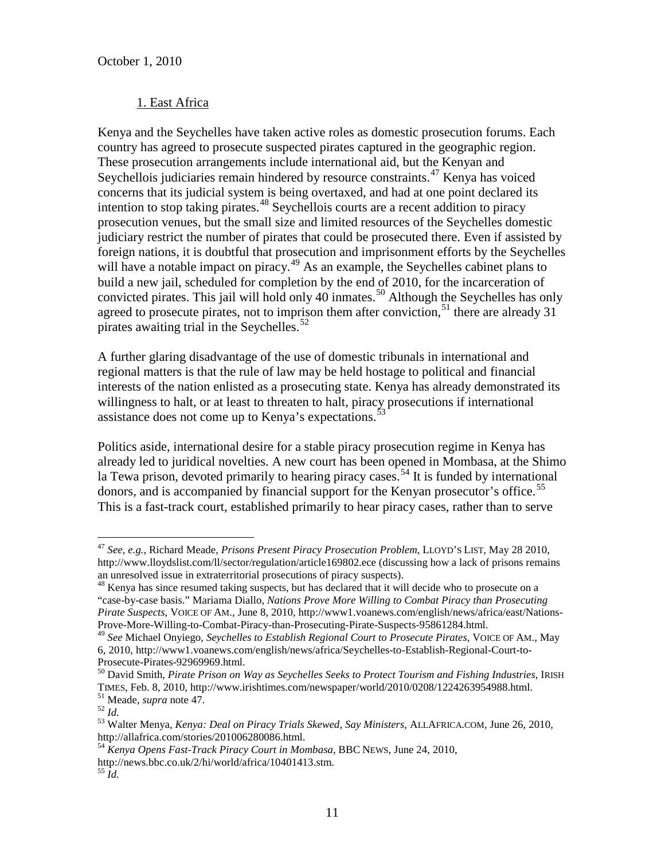## 1. East Africa

Kenya and the Seychelles have taken active roles as domestic prosecution forums. Each country has agreed to prosecute suspected pirates captured in the geographic region. These prosecution arrangements include international aid, but the Kenyan and Seychellois judiciaries remain hindered by resource constraints.<sup>[47](#page-11-5)</sup> Kenya has voiced concerns that its judicial system is being overtaxed, and had at one point declared its intention to stop taking pirates.<sup>[48](#page-12-0)</sup> Seychellois courts are a recent addition to piracy prosecution venues, but the small size and limited resources of the Seychelles domestic judiciary restrict the number of pirates that could be prosecuted there. Even if assisted by foreign nations, it is doubtful that prosecution and imprisonment efforts by the Seychelles will have a notable impact on piracy.<sup>[49](#page-12-1)</sup> As an example, the Seychelles cabinet plans to build a new jail, scheduled for completion by the end of 2010, for the incarceration of convicted pirates. This jail will hold only 40 inmates.<sup>[50](#page-12-2)</sup> Although the Seychelles has only agreed to prosecute pirates, not to imprison them after conviction,<sup>[51](#page-12-3)</sup> there are already 31 pirates awaiting trial in the Seychelles. $52$ 

A further glaring disadvantage of the use of domestic tribunals in international and regional matters is that the rule of law may be held hostage to political and financial interests of the nation enlisted as a prosecuting state. Kenya has already demonstrated its willingness to halt, or at least to threaten to halt, piracy prosecutions if international assistance does not come up to Kenya's expectations.<sup>5</sup>

<span id="page-12-9"></span>Politics aside, international desire for a stable piracy prosecution regime in Kenya has already led to juridical novelties. A new court has been opened in Mombasa, at the Shimo la Tewa prison, devoted primarily to hearing piracy cases.<sup>[54](#page-12-6)</sup> It is funded by international donors, and is accompanied by financial support for the Kenyan prosecutor's office.<sup>[55](#page-12-7)</sup> This is a fast-track court, established primarily to hear piracy cases, rather than to serve

 <sup>47</sup> *See, e.g.*, Richard Meade, *Prisons Present Piracy Prosecution Problem*, LLOYD'S LIST, May 28 2010, http://www.lloydslist.com/ll/sector/regulation/article169802.ece (discussing how a lack of prisons remains an unresolved issue in extraterritorial prosecutions of piracy suspects).

<span id="page-12-8"></span><span id="page-12-0"></span><sup>&</sup>lt;sup>48</sup> Kenya has since resumed taking suspects, but has declared that it will decide who to prosecute on a "case-by-case basis." Mariama Diallo, *Nations Prove More Willing to Combat Piracy than Prosecuting Pirate Suspects*, VOICE OF AM., June 8, 2010, http://www1.voanews.com/english/news/africa/east/Nations-Prove-More-Willing-to-Combat-Piracy-than-Prosecuting-Pirate-Suspects-95861284.html. <sup>49</sup> *See* Michael Onyiego, *Seychelles to Establish Regional Court to Prosecute Pirates*, VOICE OF AM., May

<span id="page-12-1"></span><sup>6, 2010,</sup> http://www1.voanews.com/english/news/africa/Seychelles-to-Establish-Regional-Court-to-

<span id="page-12-2"></span><sup>&</sup>lt;sup>50</sup> David Smith, *Pirate Prison on Way as Seychelles Seeks to Protect Tourism and Fishing Industries*, IRISH TIMES, Feb. 8, 2010, http://www.irishtimes.com/newspaper/world/2010/0208/1224263954988.html. <sup>51</sup> Meade, *supra* note 47.<br><sup>52</sup> Id.<br><sup>53</sup> Walter Menva. *Kenva: Deal on Piracy Trials Skewed, Say Ministers*, ALLAFRICA.COM, June 26, 2010,

<span id="page-12-4"></span><span id="page-12-3"></span>

<span id="page-12-5"></span>http://allafrica.com/stories/201006280086.html.

<span id="page-12-6"></span><sup>54</sup> *Kenya Opens Fast-Track Piracy Court in Mombasa*, BBC NEWS, June 24, 2010, http://news.bbc.co.uk/2/hi/world/africa/10401413.stm. <sup>55</sup> *Id.*

<span id="page-12-7"></span>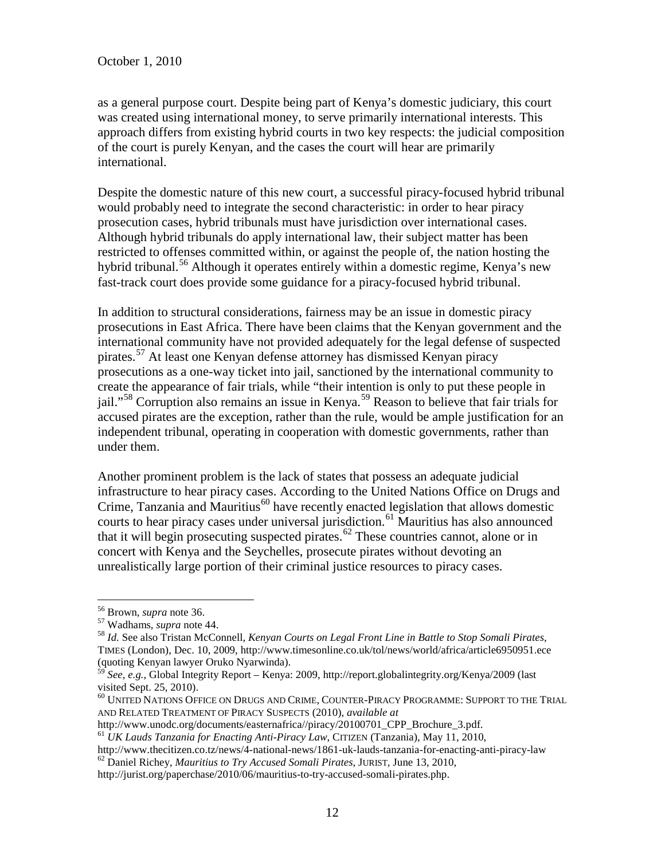as a general purpose court. Despite being part of Kenya's domestic judiciary, this court was created using international money, to serve primarily international interests. This approach differs from existing hybrid courts in two key respects: the judicial composition of the court is purely Kenyan, and the cases the court will hear are primarily international.

Despite the domestic nature of this new court, a successful piracy-focused hybrid tribunal would probably need to integrate the second characteristic: in order to hear piracy prosecution cases, hybrid tribunals must have jurisdiction over international cases. Although hybrid tribunals do apply international law, their subject matter has been restricted to offenses committed within, or against the people of, the nation hosting the hybrid tribunal.<sup>[56](#page-12-8)</sup> Although it operates entirely within a domestic regime, Kenya's new fast-track court does provide some guidance for a piracy-focused hybrid tribunal.

In addition to structural considerations, fairness may be an issue in domestic piracy prosecutions in East Africa. There have been claims that the Kenyan government and the international community have not provided adequately for the legal defense of suspected pirates.<sup>[57](#page-13-0)</sup> At least one Kenyan defense attorney has dismissed Kenyan piracy prosecutions as a one-way ticket into jail, sanctioned by the international community to create the appearance of fair trials, while "their intention is only to put these people in jail."<sup>[58](#page-13-1)</sup> Corruption also remains an issue in Kenya.<sup>[59](#page-13-2)</sup> Reason to believe that fair trials for accused pirates are the exception, rather than the rule, would be ample justification for an independent tribunal, operating in cooperation with domestic governments, rather than under them.

Another prominent problem is the lack of states that possess an adequate judicial infrastructure to hear piracy cases. According to the United Nations Office on Drugs and Crime, Tanzania and Mauritius<sup>[60](#page-13-3)</sup> have recently enacted legislation that allows domestic courts to hear piracy cases under universal jurisdiction.<sup>[61](#page-13-4)</sup> Mauritius has also announced that it will begin prosecuting suspected pirates.<sup>[62](#page-13-5)</sup> These countries cannot, alone or in concert with Kenya and the Seychelles, prosecute pirates without devoting an unrealistically large portion of their criminal justice resources to piracy cases.

<span id="page-13-1"></span><span id="page-13-0"></span>

<span id="page-13-6"></span><sup>&</sup>lt;sup>56</sup> Brown, *supra* note 36.<br><sup>57</sup> Wadhams, *supra* note 44.<br><sup>58</sup> *Id.* See also Tristan McConnell, *Kenyan Courts on Legal Front Line in Battle to Stop Somali Pirates*, TIMES (London), Dec. 10, 2009, http://www.timesonline.co.uk/tol/news/world/africa/article6950951.ece (quoting Kenyan lawyer Oruko Nyarwinda).

<span id="page-13-2"></span><sup>59</sup> *See, e.g.*, Global Integrity Report – Kenya: 2009, http://report.globalintegrity.org/Kenya/2009 (last

<span id="page-13-3"></span> $^{60}$  UNITED NATIONS OFFICE ON DRUGS AND CRIME, COUNTER-PIRACY PROGRAMME: SUPPORT TO THE TRIAL AND RELATED TREATMENT OF PIRACY SUSPECTS (2010), *available at* http://www.unodc.org/documents/easternafrica//piracy/20100701\_CPP Brochure 3.pdf.

<sup>&</sup>lt;sup>61</sup> UK Lauds Tanzania for Enacting Anti-Piracy Law, CITIZEN (Tanzania), May 11, 2010,

<span id="page-13-5"></span><span id="page-13-4"></span>http://www.thecitizen.co.tz/news/4-national-news/1861-uk-lauds-tanzania-for-enacting-anti-piracy-law <sup>62</sup> Daniel Richey, *Mauritius to Try Accused Somali Pirates*, JURIST, June 13, 2010,

http://jurist.org/paperchase/2010/06/mauritius-to-try-accused-somali-pirates.php.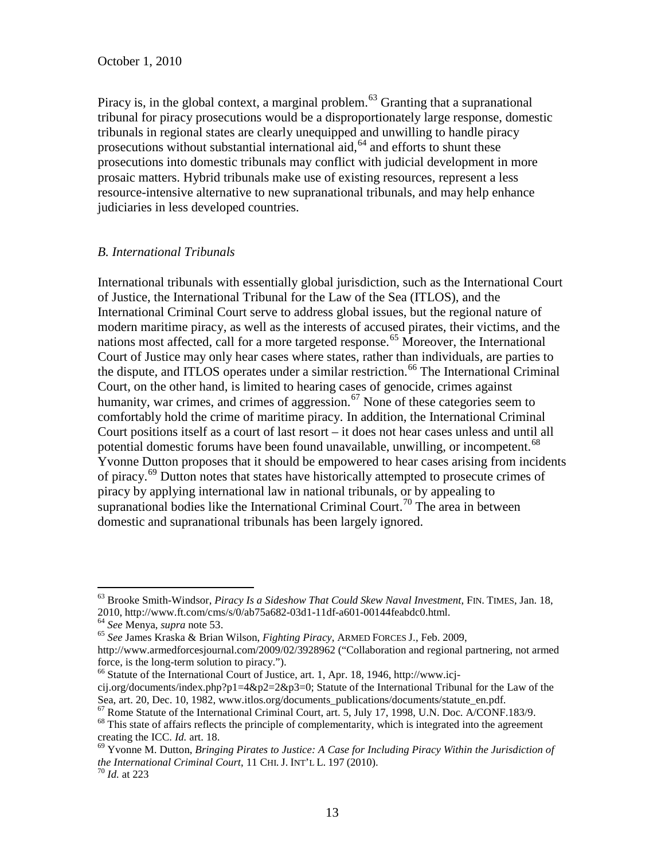Piracy is, in the global context, a marginal problem.<sup>[63](#page-13-6)</sup> Granting that a supranational tribunal for piracy prosecutions would be a disproportionately large response, domestic tribunals in regional states are clearly unequipped and unwilling to handle piracy prosecutions without substantial international aid,  $64$  and efforts to shunt these prosecutions into domestic tribunals may conflict with judicial development in more prosaic matters. Hybrid tribunals make use of existing resources, represent a less resource-intensive alternative to new supranational tribunals, and may help enhance judiciaries in less developed countries.

#### *B. International Tribunals*

International tribunals with essentially global jurisdiction, such as the International Court of Justice, the International Tribunal for the Law of the Sea (ITLOS), and the International Criminal Court serve to address global issues, but the regional nature of modern maritime piracy, as well as the interests of accused pirates, their victims, and the nations most affected, call for a more targeted response.<sup>[65](#page-14-1)</sup> Moreover, the International Court of Justice may only hear cases where states, rather than individuals, are parties to the dispute, and ITLOS operates under a similar restriction.<sup>[66](#page-14-2)</sup> The International Criminal Court, on the other hand, is limited to hearing cases of genocide, crimes against humanity, war crimes, and crimes of aggression.<sup>[67](#page-14-3)</sup> None of these categories seem to comfortably hold the crime of maritime piracy. In addition, the International Criminal Court positions itself as a court of last resort – it does not hear cases unless and until all potential domestic forums have been found unavailable, unwilling, or incompetent.<sup>[68](#page-14-4)</sup> Yvonne Dutton proposes that it should be empowered to hear cases arising from incidents of piracy.[69](#page-14-5) Dutton notes that states have historically attempted to prosecute crimes of piracy by applying international law in national tribunals, or by appealing to supranational bodies like the International Criminal Court.<sup>[70](#page-14-6)</sup> The area in between domestic and supranational tribunals has been largely ignored.

<sup>&</sup>lt;sup>63</sup> Brooke Smith-Windsor, *Piracy Is a Sideshow That Could Skew Naval Investment*, FIN. TIMES, Jan. 18, 2010, http://www.ft.com/cms/s/0/ab75a682-03d1-11df-a601-00144feabdc0.html.

<span id="page-14-1"></span><span id="page-14-0"></span><sup>2010,</sup> http://www.ft.com/cms/scom/capaca-04<br><sup>64</sup> *See* Menya, *supra* note [53.](#page-12-9) 65 *See* James Kraska & Brian Wilson, *Fighting Piracy*, ARMED FORCES J., Feb. 2009,

http://www.armedforcesjournal.com/2009/02/3928962 ("Collaboration and regional partnering, not armed force, is the long-term solution to piracy.").

<span id="page-14-7"></span><sup>&</sup>lt;sup>66</sup> Statute of the International Court of Justice, art. 1, Apr. 18, 1946, http://www.icj-

<span id="page-14-2"></span>cij.org/documents/index.php?p1=4&p2=2&p3=0; Statute of the International Tribunal for the Law of the Sea, art. 20, Dec. 10, 1982, www.itlos.org/documents\_publications/documents/statute\_en.pdf.

 $^{67}$  Rome Statute of the International Criminal Court, art. 5, July 17, 1998, U.N. Doc. A/CONF.183/9.<br><sup>68</sup> This state of affairs reflects the principle of complementarity, which is integrated into the agreement

<span id="page-14-5"></span><span id="page-14-4"></span><span id="page-14-3"></span>creating the ICC. *Id.* art. 18.<br><sup>69</sup> Yvonne M. Dutton, *Bringing Pirates to Justice: A Case for Including Piracy Within the Jurisdiction of* 

*the International Criminal Court*, 11 CHI. J. INT'L L. 197 (2010).<br><sup>70</sup> *Id.* at 223

<span id="page-14-6"></span>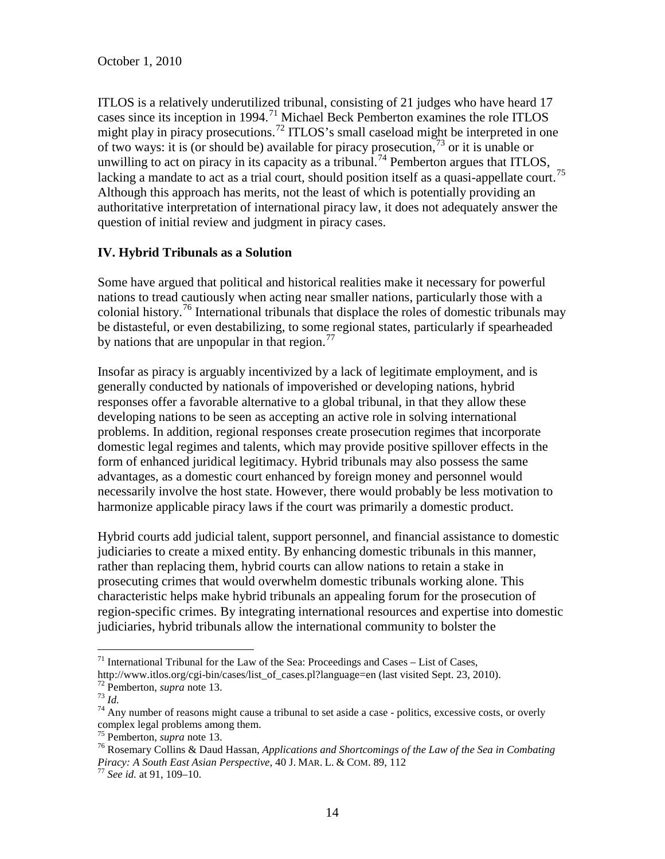ITLOS is a relatively underutilized tribunal, consisting of 21 judges who have heard 17 cases since its inception in 1994.<sup>[71](#page-14-7)</sup> Michael Beck Pemberton examines the role ITLOS might play in piracy prosecutions.<sup>[72](#page-15-0)</sup> ITLOS's small caseload might be interpreted in one of two ways: it is (or should be) available for piracy prosecution,  $\frac{73}{3}$  $\frac{73}{3}$  $\frac{73}{3}$  or it is unable or unwilling to act on piracy in its capacity as a tribunal.<sup>[74](#page-15-2)</sup> Pemberton argues that ITLOS, lacking a mandate to act as a trial court, should position itself as a quasi-appellate court.<sup>[75](#page-15-3)</sup> Although this approach has merits, not the least of which is potentially providing an authoritative interpretation of international piracy law, it does not adequately answer the question of initial review and judgment in piracy cases.

## **IV. Hybrid Tribunals as a Solution**

Some have argued that political and historical realities make it necessary for powerful nations to tread cautiously when acting near smaller nations, particularly those with a colonial history.<sup>[76](#page-15-4)</sup> International tribunals that displace the roles of domestic tribunals may be distasteful, or even destabilizing, to some regional states, particularly if spearheaded by nations that are unpopular in that region. $\frac{77}{2}$  $\frac{77}{2}$  $\frac{77}{2}$ 

Insofar as piracy is arguably incentivized by a lack of legitimate employment, and is generally conducted by nationals of impoverished or developing nations, hybrid responses offer a favorable alternative to a global tribunal, in that they allow these developing nations to be seen as accepting an active role in solving international problems. In addition, regional responses create prosecution regimes that incorporate domestic legal regimes and talents, which may provide positive spillover effects in the form of enhanced juridical legitimacy. Hybrid tribunals may also possess the same advantages, as a domestic court enhanced by foreign money and personnel would necessarily involve the host state. However, there would probably be less motivation to harmonize applicable piracy laws if the court was primarily a domestic product.

Hybrid courts add judicial talent, support personnel, and financial assistance to domestic judiciaries to create a mixed entity. By enhancing domestic tribunals in this manner, rather than replacing them, hybrid courts can allow nations to retain a stake in prosecuting crimes that would overwhelm domestic tribunals working alone. This characteristic helps make hybrid tribunals an appealing forum for the prosecution of region-specific crimes. By integrating international resources and expertise into domestic judiciaries, hybrid tribunals allow the international community to bolster the

<sup>&</sup>lt;sup>71</sup> International Tribunal for the Law of the Sea: Proceedings and Cases – List of Cases, http://www.itlos.org/cgi-bin/cases/list\_of\_cases.pl?language=en (last visited Sept. 23, 2010).

<span id="page-15-2"></span>

<span id="page-15-1"></span><span id="page-15-0"></span><sup>&</sup>lt;sup>72</sup> Pemberton, *supra* note 13.<br><sup>73</sup> *Id.*<br><sup>74</sup> Any number of reasons might cause a tribunal to set aside a case - politics, excessive costs, or overly complex legal problems among them.<br> $^{75}$  Pemberton, *supra* note 13.

<span id="page-15-4"></span><span id="page-15-3"></span><sup>&</sup>lt;sup>76</sup> Rosemary Collins & Daud Hassan, *Applications and Shortcomings of the Law of the Sea in Combating Piracy: A South East Asian Perspective*, 40 J. MAR. L. & COM. 89, 112 <sup>77</sup> *See id.* at 91, 109–10.

<span id="page-15-5"></span>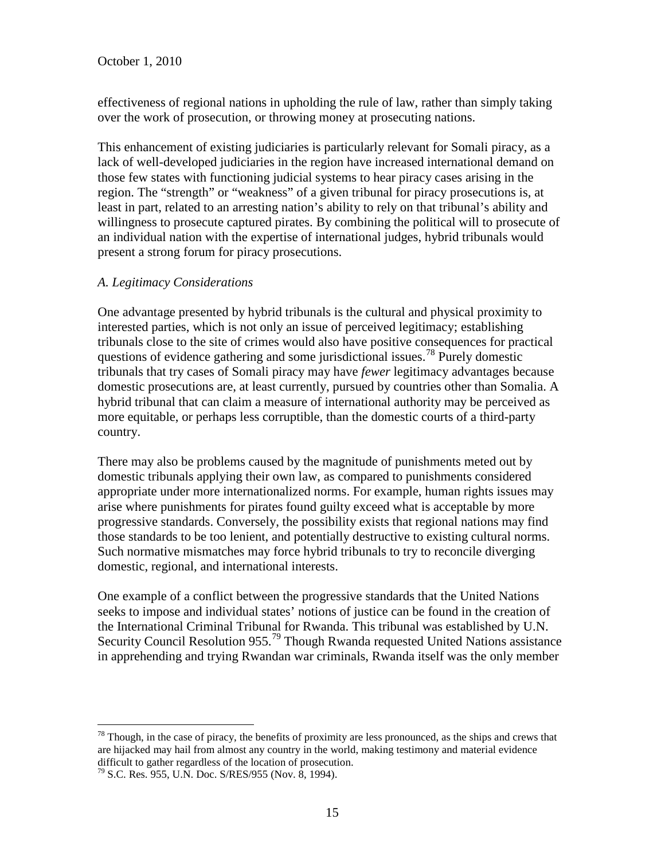effectiveness of regional nations in upholding the rule of law, rather than simply taking over the work of prosecution, or throwing money at prosecuting nations.

This enhancement of existing judiciaries is particularly relevant for Somali piracy, as a lack of well-developed judiciaries in the region have increased international demand on those few states with functioning judicial systems to hear piracy cases arising in the region. The "strength" or "weakness" of a given tribunal for piracy prosecutions is, at least in part, related to an arresting nation's ability to rely on that tribunal's ability and willingness to prosecute captured pirates. By combining the political will to prosecute of an individual nation with the expertise of international judges, hybrid tribunals would present a strong forum for piracy prosecutions.

## *A. Legitimacy Considerations*

One advantage presented by hybrid tribunals is the cultural and physical proximity to interested parties, which is not only an issue of perceived legitimacy; establishing tribunals close to the site of crimes would also have positive consequences for practical questions of evidence gathering and some jurisdictional issues.<sup>[78](#page-15-3)</sup> Purely domestic tribunals that try cases of Somali piracy may have *fewer* legitimacy advantages because domestic prosecutions are, at least currently, pursued by countries other than Somalia. A hybrid tribunal that can claim a measure of international authority may be perceived as more equitable, or perhaps less corruptible, than the domestic courts of a third-party country.

There may also be problems caused by the magnitude of punishments meted out by domestic tribunals applying their own law, as compared to punishments considered appropriate under more internationalized norms. For example, human rights issues may arise where punishments for pirates found guilty exceed what is acceptable by more progressive standards. Conversely, the possibility exists that regional nations may find those standards to be too lenient, and potentially destructive to existing cultural norms. Such normative mismatches may force hybrid tribunals to try to reconcile diverging domestic, regional, and international interests.

<span id="page-16-1"></span>One example of a conflict between the progressive standards that the United Nations seeks to impose and individual states' notions of justice can be found in the creation of the International Criminal Tribunal for Rwanda. This tribunal was established by U.N. Security Council Resolution 955.<sup>[79](#page-16-0)</sup> Though Rwanda requested United Nations assistance in apprehending and trying Rwandan war criminals, Rwanda itself was the only member

 $78$  Though, in the case of piracy, the benefits of proximity are less pronounced, as the ships and crews that are hijacked may hail from almost any country in the world, making testimony and material evidence difficult to gather regardless of the location of prosecution.

<span id="page-16-0"></span><sup>79</sup> S.C. Res. 955, U.N. Doc. S/RES/955 (Nov. 8, 1994).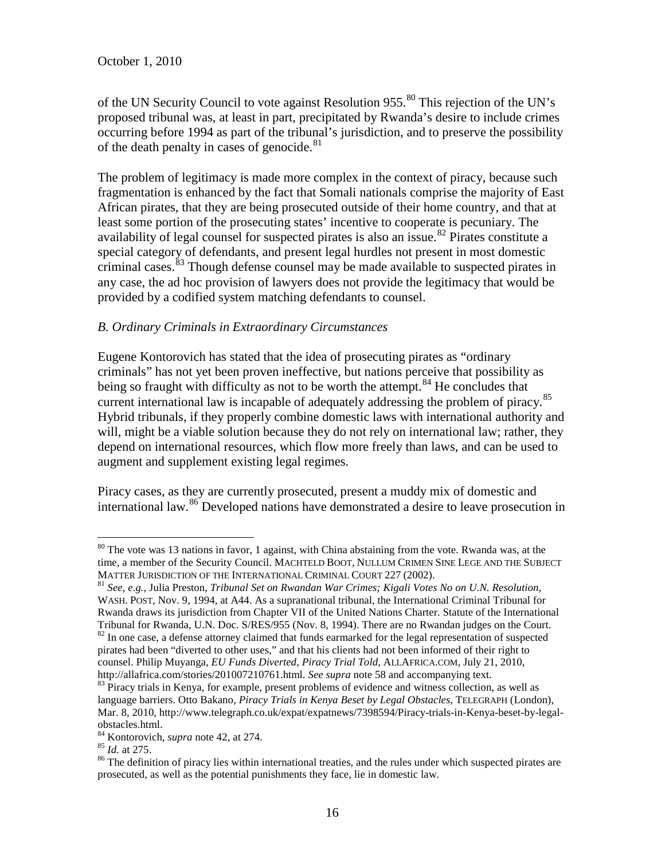of the UN Security Council to vote against Resolution 955.<sup>[80](#page-16-1)</sup> This rejection of the UN's proposed tribunal was, at least in part, precipitated by Rwanda's desire to include crimes occurring before 1994 as part of the tribunal's jurisdiction, and to preserve the possibility of the death penalty in cases of genocide.<sup>[81](#page-17-0)</sup>

The problem of legitimacy is made more complex in the context of piracy, because such fragmentation is enhanced by the fact that Somali nationals comprise the majority of East African pirates, that they are being prosecuted outside of their home country, and that at least some portion of the prosecuting states' incentive to cooperate is pecuniary. The availability of legal counsel for suspected pirates is also an issue.<sup>[82](#page-17-1)</sup> Pirates constitute a special category of defendants, and present legal hurdles not present in most domestic criminal cases.<sup>[83](#page-17-2)</sup> Though defense counsel may be made available to suspected pirates in any case, the ad hoc provision of lawyers does not provide the legitimacy that would be provided by a codified system matching defendants to counsel.

## *B. Ordinary Criminals in Extraordinary Circumstances*

Eugene Kontorovich has stated that the idea of prosecuting pirates as "ordinary criminals" has not yet been proven ineffective, but nations perceive that possibility as being so fraught with difficulty as not to be worth the attempt.<sup>[84](#page-17-3)</sup> He concludes that current international law is incapable of adequately addressing the problem of piracy.<sup>[85](#page-17-4)</sup> Hybrid tribunals, if they properly combine domestic laws with international authority and will, might be a viable solution because they do not rely on international law; rather, they depend on international resources, which flow more freely than laws, and can be used to augment and supplement existing legal regimes.

Piracy cases, as they are currently prosecuted, present a muddy mix of domestic and international law.<sup>[86](#page-17-5)</sup> Developed nations have demonstrated a desire to leave prosecution in

<sup>&</sup>lt;sup>80</sup> The vote was 13 nations in favor, 1 against, with China abstaining from the vote. Rwanda was, at the time, a member of the Security Council. MACHTELD BOOT, NULLUM CRIMEN SINE LEGE AND THE SUBJECT<br>MATTER JURISDICTION OF THE INTERNATIONAL CRIMINAL COURT 227 (2002).

<span id="page-17-0"></span><sup>&</sup>lt;sup>81</sup> See, e.g., Julia Preston, Tribunal Set on Rwandan War Crimes; Kigali Votes No on U.N. Resolution, WASH. POST, Nov. 9, 1994, at A44. As a supranational tribunal, the International Criminal Tribunal for Rwanda draws its jurisdiction from Chapter VII of the United Nations Charter. Statute of the International Tribunal for Rwanda, U.N. Doc. S/RES/955 (Nov. 8, 1994). There are no Rwandan judges on the Court.  $82$  In one case, a defense attorney claimed that funds earmarked for the legal representation of suspected pirates had been "diverted to other uses," and that his clients had not been informed of their right to counsel. Philip Muyanga, *EU Funds Diverted, Piracy Trial Told*, ALLAFRICA.COM, July 21, 2010,

<span id="page-17-6"></span><span id="page-17-2"></span><span id="page-17-1"></span>http://allafrica.com/stories/201007210761.html. *See supra* note 58 and accompanying text.<br><sup>83</sup> Piracy trials in Kenya, for example, present problems of evidence and witness collection, as well as language barriers. Otto Bakano, *Piracy Trials in Kenya Beset by Legal Obstacles*, TELEGRAPH (London), Mar. 8, 2010, http://www.telegraph.co.uk/expat/expatnews/7398594/Piracy-trials-in-Kenya-beset-by-legalobstacles.html.<br><sup>84</sup> Kontorovich, *supra* note 42, at 274.<br><sup>85</sup> *Id.* at 275.<br><sup>86</sup> The definition of piracy lies within international treaties, and the rules under which suspected pirates are

<span id="page-17-3"></span>

<span id="page-17-4"></span>

<span id="page-17-5"></span>prosecuted, as well as the potential punishments they face, lie in domestic law.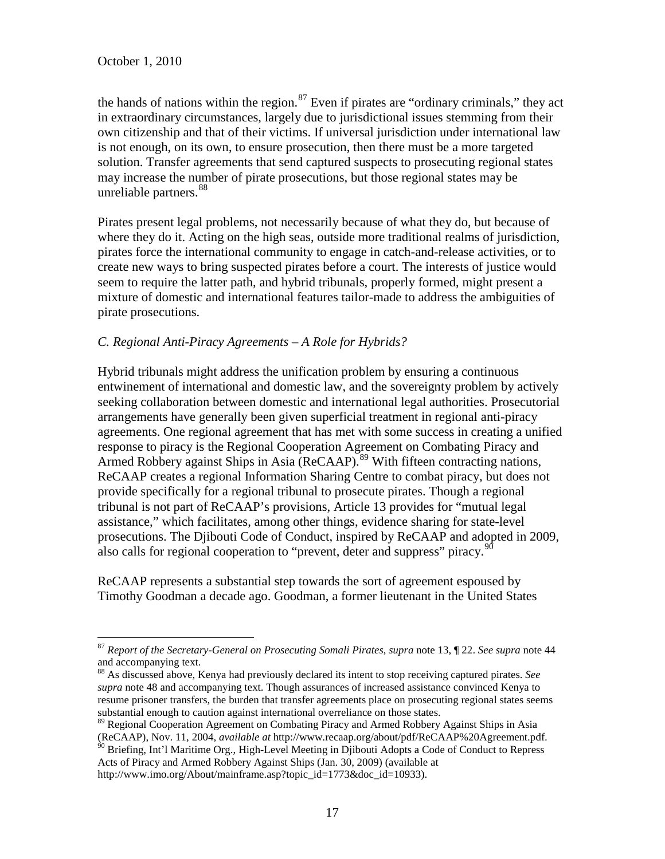the hands of nations within the region.<sup>[87](#page-17-6)</sup> Even if pirates are "ordinary criminals," they act in extraordinary circumstances, largely due to jurisdictional issues stemming from their own citizenship and that of their victims. If universal jurisdiction under international law is not enough, on its own, to ensure prosecution, then there must be a more targeted solution. Transfer agreements that send captured suspects to prosecuting regional states may increase the number of pirate prosecutions, but those regional states may be unreliable partners.<sup>[88](#page-18-0)</sup>

Pirates present legal problems, not necessarily because of what they do, but because of where they do it. Acting on the high seas, outside more traditional realms of jurisdiction, pirates force the international community to engage in catch-and-release activities, or to create new ways to bring suspected pirates before a court. The interests of justice would seem to require the latter path, and hybrid tribunals, properly formed, might present a mixture of domestic and international features tailor-made to address the ambiguities of pirate prosecutions.

## *C. Regional Anti-Piracy Agreements – A Role for Hybrids?*

Hybrid tribunals might address the unification problem by ensuring a continuous entwinement of international and domestic law, and the sovereignty problem by actively seeking collaboration between domestic and international legal authorities. Prosecutorial arrangements have generally been given superficial treatment in regional anti-piracy agreements. One regional agreement that has met with some success in creating a unified response to piracy is the Regional Cooperation Agreement on Combating Piracy and Armed Robbery against Ships in Asia (ReCAAP).<sup>[89](#page-18-1)</sup> With fifteen contracting nations, ReCAAP creates a regional Information Sharing Centre to combat piracy, but does not provide specifically for a regional tribunal to prosecute pirates. Though a regional tribunal is not part of ReCAAP's provisions, Article 13 provides for "mutual legal assistance," which facilitates, among other things, evidence sharing for state-level prosecutions. The Djibouti Code of Conduct, inspired by ReCAAP and adopted in 2009, also calls for regional cooperation to "prevent, deter and suppress" piracy.<sup>[90](#page-18-2)</sup>

ReCAAP represents a substantial step towards the sort of agreement espoused by Timothy Goodman a decade ago. Goodman, a former lieutenant in the United States

 <sup>87</sup> *Report of the Secretary-General on Prosecuting Somali Pirates*, *supra* note 13, ¶ 22. *See supra* note 44 and accompanying text.

<span id="page-18-3"></span><span id="page-18-0"></span><sup>88</sup> As discussed above, Kenya had previously declared its intent to stop receiving captured pirates. *See supra* note 48 and accompanying text. Though assurances of increased assistance convinced Kenya to resume prisoner transfers, the burden that transfer agreements place on prosecuting regional states seems substantial enough to caution against international overreliance on those states.

<span id="page-18-1"></span><sup>89</sup> Regional Cooperation Agreement on Combating Piracy and Armed Robbery Against Ships in Asia (ReCAAP), Nov. 11, 2004, *available at* http://www.recaap.org/about/pdf/ReCAAP%20Agreement.pdf. <sup>90</sup> Briefing, Int'l Maritime Org., High-Level Meeting in Djibouti Adopts a Code of Conduct to Repress

<span id="page-18-2"></span>Acts of Piracy and Armed Robbery Against Ships (Jan. 30, 2009) (available at

http://www.imo.org/About/mainframe.asp?topic\_id=1773&doc\_id=10933).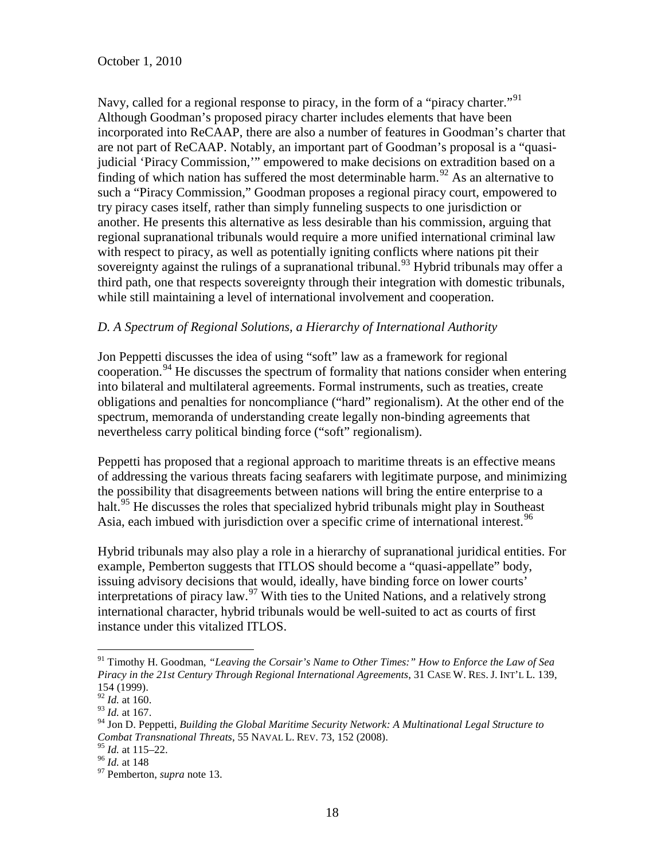October 1, 2010

Navy, called for a regional response to piracy, in the form of a "piracy charter."<sup>[91](#page-18-3)</sup> Although Goodman's proposed piracy charter includes elements that have been incorporated into ReCAAP, there are also a number of features in Goodman's charter that are not part of ReCAAP. Notably, an important part of Goodman's proposal is a "quasijudicial 'Piracy Commission,'" empowered to make decisions on extradition based on a finding of which nation has suffered the most determinable harm.<sup>[92](#page-19-0)</sup> As an alternative to such a "Piracy Commission," Goodman proposes a regional piracy court, empowered to try piracy cases itself, rather than simply funneling suspects to one jurisdiction or another. He presents this alternative as less desirable than his commission, arguing that regional supranational tribunals would require a more unified international criminal law with respect to piracy, as well as potentially igniting conflicts where nations pit their sovereignty against the rulings of a supranational tribunal.<sup>[93](#page-19-1)</sup> Hybrid tribunals may offer a third path, one that respects sovereignty through their integration with domestic tribunals, while still maintaining a level of international involvement and cooperation.

## *D. A Spectrum of Regional Solutions, a Hierarchy of International Authority*

Jon Peppetti discusses the idea of using "soft" law as a framework for regional cooperation.<sup>[94](#page-19-2)</sup> He discusses the spectrum of formality that nations consider when entering into bilateral and multilateral agreements. Formal instruments, such as treaties, create obligations and penalties for noncompliance ("hard" regionalism). At the other end of the spectrum, memoranda of understanding create legally non-binding agreements that nevertheless carry political binding force ("soft" regionalism).

Peppetti has proposed that a regional approach to maritime threats is an effective means of addressing the various threats facing seafarers with legitimate purpose, and minimizing the possibility that disagreements between nations will bring the entire enterprise to a halt.<sup>[95](#page-19-3)</sup> He discusses the roles that specialized hybrid tribunals might play in Southeast Asia, each imbued with jurisdiction over a specific crime of international interest.  $96$ 

Hybrid tribunals may also play a role in a hierarchy of supranational juridical entities. For example, Pemberton suggests that ITLOS should become a "quasi-appellate" body, issuing advisory decisions that would, ideally, have binding force on lower courts' interpretations of piracy law.[97](#page-19-5) With ties to the United Nations, and a relatively strong international character, hybrid tribunals would be well-suited to act as courts of first instance under this vitalized ITLOS.

<span id="page-19-6"></span> <sup>91</sup> Timothy H. Goodman, *"Leaving the Corsair's Name to Other Times:" How to Enforce the Law of Sea Piracy in the 21st Century Through Regional International Agreements*, 31 CASE W. RES. J. INT'L L. 139, 154 (1999).

<span id="page-19-0"></span><sup>92</sup> *Id.* at 160.

<span id="page-19-1"></span><sup>93</sup> *Id.* at 167.

<span id="page-19-2"></span><sup>94</sup> Jon D. Peppetti, *Building the Global Maritime Security Network: A Multinational Legal Structure to Combat Transnational Threats*, 55 NAVAL L. REV. 73, 152 (2008).<br><sup>95</sup> *Id.* at 115–22.<br><sup>96</sup> *Id.* at 148 97 Pemberton, *supra* note 13.

<span id="page-19-5"></span><span id="page-19-4"></span><span id="page-19-3"></span>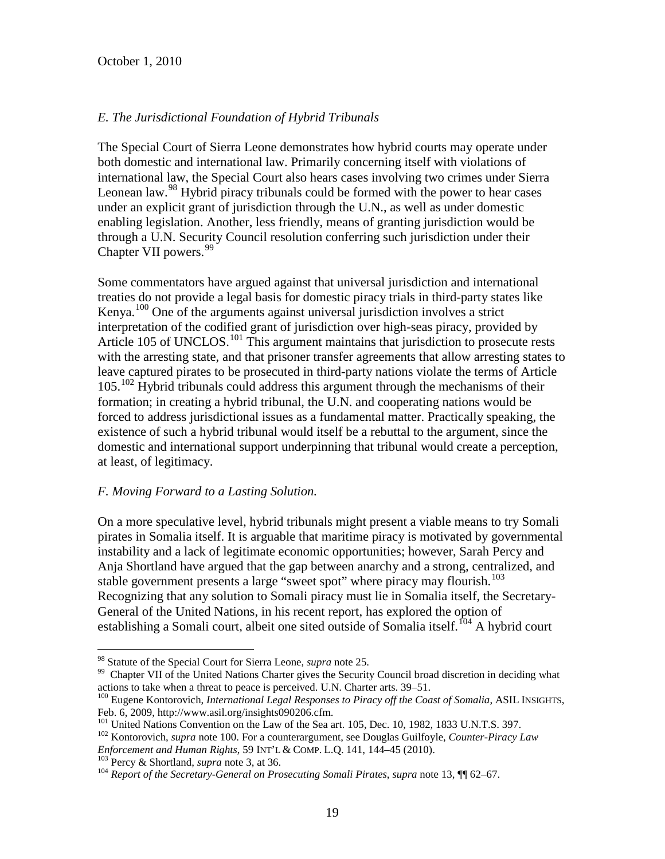## *E. The Jurisdictional Foundation of Hybrid Tribunals*

The Special Court of Sierra Leone demonstrates how hybrid courts may operate under both domestic and international law. Primarily concerning itself with violations of international law, the Special Court also hears cases involving two crimes under Sierra Leonean law.<sup>[98](#page-19-6)</sup> Hybrid piracy tribunals could be formed with the power to hear cases under an explicit grant of jurisdiction through the U.N., as well as under domestic enabling legislation. Another, less friendly, means of granting jurisdiction would be through a U.N. Security Council resolution conferring such jurisdiction under their Chapter VII powers.<sup>[99](#page-20-0)</sup>

Some commentators have argued against that universal jurisdiction and international treaties do not provide a legal basis for domestic piracy trials in third-party states like Kenya.[100](#page-20-1) One of the arguments against universal jurisdiction involves a strict interpretation of the codified grant of jurisdiction over high-seas piracy, provided by Article 105 of UNCLOS.<sup>[101](#page-20-2)</sup> This argument maintains that jurisdiction to prosecute rests with the arresting state, and that prisoner transfer agreements that allow arresting states to leave captured pirates to be prosecuted in third-party nations violate the terms of Article  $105.<sup>102</sup>$  $105.<sup>102</sup>$  $105.<sup>102</sup>$  Hybrid tribunals could address this argument through the mechanisms of their formation; in creating a hybrid tribunal, the U.N. and cooperating nations would be forced to address jurisdictional issues as a fundamental matter. Practically speaking, the existence of such a hybrid tribunal would itself be a rebuttal to the argument, since the domestic and international support underpinning that tribunal would create a perception, at least, of legitimacy.

## *F. Moving Forward to a Lasting Solution.*

On a more speculative level, hybrid tribunals might present a viable means to try Somali pirates in Somalia itself. It is arguable that maritime piracy is motivated by governmental instability and a lack of legitimate economic opportunities; however, Sarah Percy and Anja Shortland have argued that the gap between anarchy and a strong, centralized, and stable government presents a large "sweet spot" where piracy may flourish.<sup>[103](#page-20-4)</sup> Recognizing that any solution to Somali piracy must lie in Somalia itself, the Secretary-General of the United Nations, in his recent report, has explored the option of establishing a Somali court, albeit one sited outside of Somalia itself.<sup>[104](#page-20-5)</sup> A hybrid court

<span id="page-20-0"></span><sup>&</sup>lt;sup>98</sup> Statute of the Special Court for Sierra Leone, *supra* note 25.<br><sup>99</sup> Chapter VII of the United Nations Charter gives the Security Council broad discretion in deciding what actions to take when a threat to peace is per

<span id="page-20-1"></span><sup>&</sup>lt;sup>100</sup> Eugene Kontorovich, *International Legal Responses to Piracy off the Coast of Somalia*, ASIL INSIGHTS,

<span id="page-20-2"></span>Feb. 6, 2009, http://www.asil.org/insights090206.cfm.<br><sup>101</sup> United Nations Convention on the Law of the Sea art. 105, Dec. 10, 1982, 1833 U.N.T.S. 397.<br><sup>102</sup> Kontorovich, *supra* note 100. For a counterargument, see Dougla

<span id="page-20-3"></span>*Enforcement and Human Rights,* 59 INT'L & COMP. L.Q. 141, 144–45 (2010).<br><sup>103</sup> Percy & Shortland, *supra* note 3, at 36.<br><sup>104</sup> Report of the Secretary-General on Prosecuting Somali Pirates, supra note 13,  $\P$  62–67.

<span id="page-20-4"></span>

<span id="page-20-5"></span>